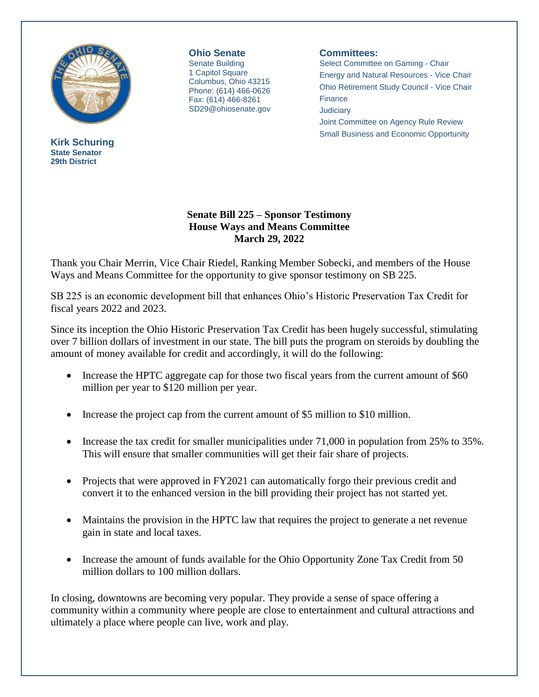

**Kirk Schuring State Senator 29th District**

**Ohio Senate** Senate Building 1 Capitol Square Columbus, Ohio 43215 Phone: (614) 466-0626 Fax: (614) 466-8261 SD29@ohiosenate.gov

## **Committees:**

Select Committee on Gaming - Chair Energy and Natural Resources - Vice Chair Ohio Retirement Study Council - Vice Chair **Finance Judiciary** Joint Committee on Agency Rule Review Small Business and Economic Opportunity

## **Senate Bill 225 – Sponsor Testimony House Ways and Means Committee March 29, 2022**

Thank you Chair Merrin, Vice Chair Riedel, Ranking Member Sobecki, and members of the House Ways and Means Committee for the opportunity to give sponsor testimony on SB 225.

SB 225 is an economic development bill that enhances Ohio's Historic Preservation Tax Credit for fiscal years 2022 and 2023.

Since its inception the Ohio Historic Preservation Tax Credit has been hugely successful, stimulating over 7 billion dollars of investment in our state. The bill puts the program on steroids by doubling the amount of money available for credit and accordingly, it will do the following:

- Increase the HPTC aggregate cap for those two fiscal years from the current amount of \$60 million per year to \$120 million per year.
- Increase the project cap from the current amount of \$5 million to \$10 million.
- Increase the tax credit for smaller municipalities under  $71,000$  in population from 25% to 35%. This will ensure that smaller communities will get their fair share of projects.
- Projects that were approved in FY2021 can automatically forgo their previous credit and convert it to the enhanced version in the bill providing their project has not started yet.
- Maintains the provision in the HPTC law that requires the project to generate a net revenue gain in state and local taxes.
- Increase the amount of funds available for the Ohio Opportunity Zone Tax Credit from 50 million dollars to 100 million dollars.

In closing, downtowns are becoming very popular. They provide a sense of space offering a community within a community where people are close to entertainment and cultural attractions and ultimately a place where people can live, work and play.